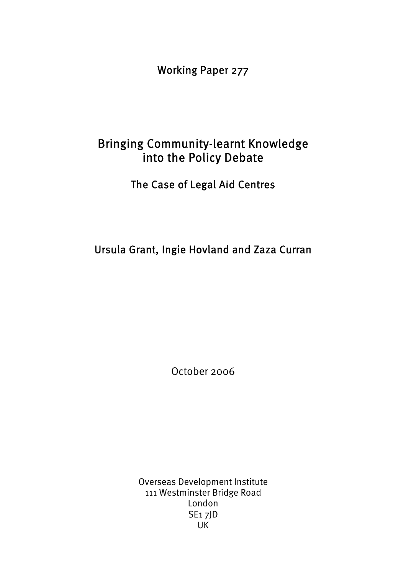Working Paper 277

# Bringing Community-learnt Knowledge into the Policy Debate

The Case of Legal Aid Centres

Ursula Grant, Ingie Hovland and Zaza Curran

October 2006

Overseas Development Institute 111 Westminster Bridge Road London SE1 7JD UK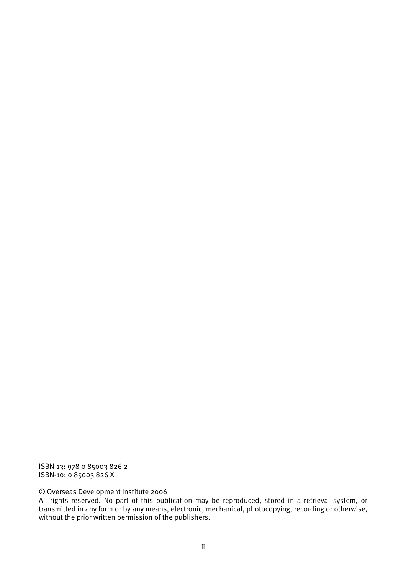ISBN-13: 978 0 85003 826 2 ISBN-10: 0 85003 826 X

© Overseas Development Institute 2006

All rights reserved. No part of this publication may be reproduced, stored in a retrieval system, or transmitted in any form or by any means, electronic, mechanical, photocopying, recording or otherwise, without the prior written permission of the publishers.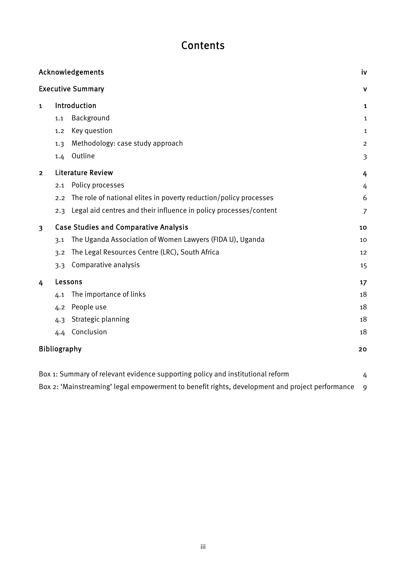# Contents

| Acknowledgements<br><b>Executive Summary</b>                                   |                                              |                                                                   | iv             |
|--------------------------------------------------------------------------------|----------------------------------------------|-------------------------------------------------------------------|----------------|
|                                                                                |                                              |                                                                   | v              |
| $\mathbf{1}$                                                                   | Introduction                                 |                                                                   | 1              |
|                                                                                | 1.1                                          | Background                                                        | $\mathbf{1}$   |
|                                                                                | 1,2                                          | Key question                                                      | $\mathbf{1}$   |
|                                                                                | 1.3                                          | Methodology: case study approach                                  | $\overline{2}$ |
|                                                                                | 1.4                                          | Outline                                                           | 3              |
| $\overline{2}$                                                                 | <b>Literature Review</b>                     |                                                                   | 4              |
|                                                                                | 2.1                                          | Policy processes                                                  | 4              |
|                                                                                | 2.2                                          | The role of national elites in poverty reduction/policy processes | 6              |
|                                                                                | 2.3                                          | Legal aid centres and their influence in policy processes/content | $\overline{7}$ |
| $\overline{\mathbf{3}}$                                                        | <b>Case Studies and Comparative Analysis</b> |                                                                   | 10             |
|                                                                                | 3.1                                          | The Uganda Association of Women Lawyers (FIDA U), Uganda          | 10             |
|                                                                                | 3.2                                          | The Legal Resources Centre (LRC), South Africa                    | 12             |
|                                                                                | 3.3                                          | Comparative analysis                                              | 15             |
| 4                                                                              | Lessons                                      |                                                                   | 17             |
|                                                                                | 4.1                                          | The importance of links                                           | 18             |
|                                                                                | 4.2                                          | People use                                                        | 18             |
|                                                                                | 4.3                                          | Strategic planning                                                | 18             |
|                                                                                | 4.4                                          | Conclusion                                                        | 18             |
| <b>Bibliography</b>                                                            |                                              |                                                                   | 20             |
| Box 1: Summary of relevant evidence supporting policy and institutional reform |                                              |                                                                   | 4              |

Box 2: 'Mainstreaming' legal empowerment to benefit rights, development and project performance 9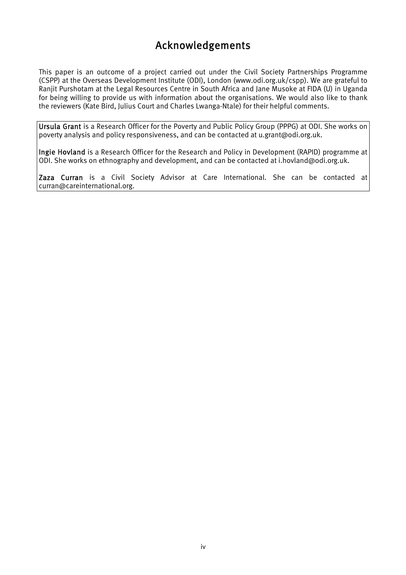# Acknowledgements

This paper is an outcome of a project carried out under the Civil Society Partnerships Programme (CSPP) at the Overseas Development Institute (ODI), London (www.odi.org.uk/cspp). We are grateful to Ranjit Purshotam at the Legal Resources Centre in South Africa and Jane Musoke at FIDA (U) in Uganda for being willing to provide us with information about the organisations. We would also like to thank the reviewers (Kate Bird, Julius Court and Charles Lwanga-Ntale) for their helpful comments.

Ursula Grant is a Research Officer for the Poverty and Public Policy Group (PPPG) at ODI. She works on poverty analysis and policy responsiveness, and can be contacted at u.grant@odi.org.uk.

Ingie Hovland is a Research Officer for the Research and Policy in Development (RAPID) programme at ODI. She works on ethnography and development, and can be contacted at i.hovland@odi.org.uk.

Zaza Curran is a Civil Society Advisor at Care International. She can be contacted at curran@careinternational.org.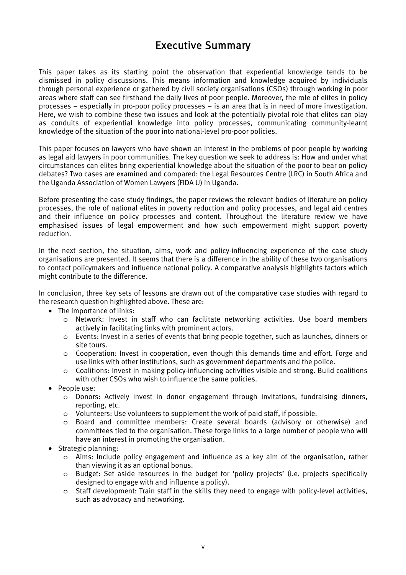# Executive Summary

This paper takes as its starting point the observation that experiential knowledge tends to be dismissed in policy discussions. This means information and knowledge acquired by individuals through personal experience or gathered by civil society organisations (CSOs) through working in poor areas where staff can see firsthand the daily lives of poor people. Moreover, the role of elites in policy processes – especially in pro-poor policy processes – is an area that is in need of more investigation. Here, we wish to combine these two issues and look at the potentially pivotal role that elites can play as conduits of experiential knowledge into policy processes, communicating community-learnt knowledge of the situation of the poor into national-level pro-poor policies.

This paper focuses on lawyers who have shown an interest in the problems of poor people by working as legal aid lawyers in poor communities. The key question we seek to address is: How and under what circumstances can elites bring experiential knowledge about the situation of the poor to bear on policy debates? Two cases are examined and compared: the Legal Resources Centre (LRC) in South Africa and the Uganda Association of Women Lawyers (FIDA U) in Uganda.

Before presenting the case study findings, the paper reviews the relevant bodies of literature on policy processes, the role of national elites in poverty reduction and policy processes, and legal aid centres and their influence on policy processes and content. Throughout the literature review we have emphasised issues of legal empowerment and how such empowerment might support poverty reduction.

In the next section, the situation, aims, work and policy-influencing experience of the case study organisations are presented. It seems that there is a difference in the ability of these two organisations to contact policymakers and influence national policy. A comparative analysis highlights factors which might contribute to the difference.

In conclusion, three key sets of lessons are drawn out of the comparative case studies with regard to the research question highlighted above. These are:

- The importance of links:
	- o Network: Invest in staff who can facilitate networking activities. Use board members actively in facilitating links with prominent actors.
	- o Events: Invest in a series of events that bring people together, such as launches, dinners or site tours.
	- o Cooperation: Invest in cooperation, even though this demands time and effort. Forge and use links with other institutions, such as government departments and the police.
	- o Coalitions: Invest in making policy-influencing activities visible and strong. Build coalitions with other CSOs who wish to influence the same policies.
- People use:
	- o Donors: Actively invest in donor engagement through invitations, fundraising dinners, reporting, etc.
	- o Volunteers: Use volunteers to supplement the work of paid staff, if possible.
	- o Board and committee members: Create several boards (advisory or otherwise) and committees tied to the organisation. These forge links to a large number of people who will have an interest in promoting the organisation.
- Strategic planning:
	- o Aims: Include policy engagement and influence as a key aim of the organisation, rather than viewing it as an optional bonus.
	- o Budget: Set aside resources in the budget for 'policy projects' (i.e. projects specifically designed to engage with and influence a policy).
	- o Staff development: Train staff in the skills they need to engage with policy-level activities, such as advocacy and networking.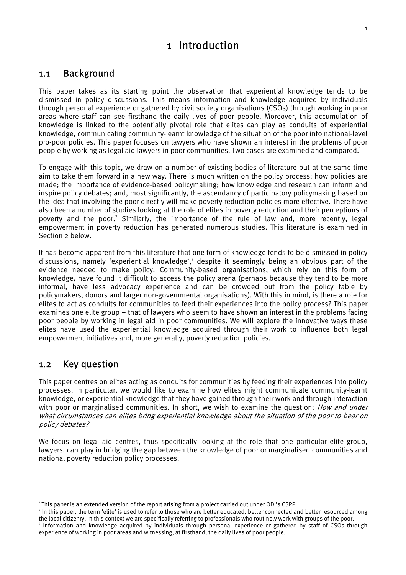# 1 Introduction

## 1.1 Background

This paper takes as its starting point the observation that experiential knowledge tends to be dismissed in policy discussions. This means information and knowledge acquired by individuals through personal experience or gathered by civil society organisations (CSOs) through working in poor areas where staff can see firsthand the daily lives of poor people. Moreover, this accumulation of knowledge is linked to the potentially pivotal role that elites can play as conduits of experiential knowledge, communicating community-learnt knowledge of the situation of the poor into national-level pro-poor policies. This paper focuses on lawyers who have shown an interest in the problems of poor people by working as legal aid lawyers in poor communities. Two cases are examined and compared.<sup>1</sup>

To engage with this topic, we draw on a number of existing bodies of literature but at the same time aim to take them forward in a new way. There is much written on the policy process: how policies are made; the importance of evidence-based policymaking; how knowledge and research can inform and inspire policy debates; and, most significantly, the ascendancy of participatory policymaking based on the idea that involving the poor directly will make poverty reduction policies more effective. There have also been a number of studies looking at the role of elites in poverty reduction and their perceptions of poverty and the poor.<sup>2</sup> Similarly, the importance of the rule of law and, more recently, legal empowerment in poverty reduction has generated numerous studies. This literature is examined in Section 2 below.

It has become apparent from this literature that one form of knowledge tends to be dismissed in policy discussions, namely 'experiential knowledge',<sup>3</sup> despite it seemingly being an obvious part of the evidence needed to make policy. Community-based organisations, which rely on this form of knowledge, have found it difficult to access the policy arena (perhaps because they tend to be more informal, have less advocacy experience and can be crowded out from the policy table by policymakers, donors and larger non-governmental organisations). With this in mind, is there a role for elites to act as conduits for communities to feed their experiences into the policy process? This paper examines one elite group – that of lawyers who seem to have shown an interest in the problems facing poor people by working in legal aid in poor communities. We will explore the innovative ways these elites have used the experiential knowledge acquired through their work to influence both legal empowerment initiatives and, more generally, poverty reduction policies.

## 1.2 Key question

This paper centres on elites acting as conduits for communities by feeding their experiences into policy processes. In particular, we would like to examine how elites might communicate community-learnt knowledge, or experiential knowledge that they have gained through their work and through interaction with poor or marginalised communities. In short, we wish to examine the question: How and under what circumstances can elites bring experiential knowledge about the situation of the poor to bear on policy debates?

We focus on legal aid centres, thus specifically looking at the role that one particular elite group, lawyers, can play in bridging the gap between the knowledge of poor or marginalised communities and national poverty reduction policy processes.

<sup>2</sup> In this paper, the term 'elite' is used to refer to those who are better educated, better connected and better resourced among the local citizenry. In this context we are specifically referring to professionals who routinely work with groups of the poor. 3

This paper is an extended version of the report arising from a project carried out under ODI's CSPP.<br><sup>2</sup> In this paper, the term folite' is used to refer to those who are better educated, better seppected and

Information and knowledge acquired by individuals through personal experience or gathered by staff of CSOs through experience of working in poor areas and witnessing, at firsthand, the daily lives of poor people.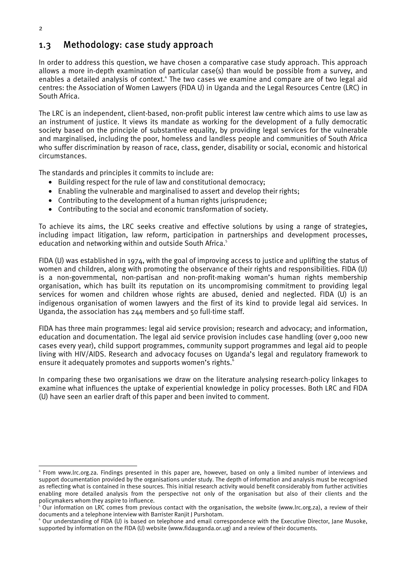## 1.3 Methodology: case study approach

In order to address this question, we have chosen a comparative case study approach. This approach allows a more in-depth examination of particular case(s) than would be possible from a survey, and enables a detailed analysis of context.<sup>4</sup> The two cases we examine and compare are of two legal aid centres: the Association of Women Lawyers (FIDA U) in Uganda and the Legal Resources Centre (LRC) in South Africa.

The LRC is an independent, client-based, non-profit public interest law centre which aims to use law as an instrument of justice. It views its mandate as working for the development of a fully democratic society based on the principle of substantive equality, by providing legal services for the vulnerable and marginalised, including the poor, homeless and landless people and communities of South Africa who suffer discrimination by reason of race, class, gender, disability or social, economic and historical circumstances.

The standards and principles it commits to include are:

- Building respect for the rule of law and constitutional democracy;
- Enabling the vulnerable and marginalised to assert and develop their rights;
- Contributing to the development of a human rights jurisprudence;
- Contributing to the social and economic transformation of society.

To achieve its aims, the LRC seeks creative and effective solutions by using a range of strategies, including impact litigation, law reform, participation in partnerships and development processes, education and networking within and outside South Africa.<sup>5</sup>

FIDA (U) was established in 1974, with the goal of improving access to justice and uplifting the status of women and children, along with promoting the observance of their rights and responsibilities. FIDA (U) is a non-governmental, non-partisan and non-profit-making woman's human rights membership organisation, which has built its reputation on its uncompromising commitment to providing legal services for women and children whose rights are abused, denied and neglected. FIDA (U) is an indigenous organisation of women lawyers and the first of its kind to provide legal aid services. In Uganda, the association has  $244$  members and 50 full-time staff.

FIDA has three main programmes: legal aid service provision; research and advocacy; and information, education and documentation. The legal aid service provision includes case handling (over 9,000 new cases every year), child support programmes, community support programmes and legal aid to people living with HIV/AIDS. Research and advocacy focuses on Uganda's legal and regulatory framework to ensure it adequately promotes and supports women's rights.<sup>6</sup>

In comparing these two organisations we draw on the literature analysing research-policy linkages to examine what influences the uptake of experiential knowledge in policy processes. Both LRC and FIDA (U) have seen an earlier draft of this paper and been invited to comment.

<sup>4</sup> From www.lrc.org.za. Findings presented in this paper are, however, based on only a limited number of interviews and support documentation provided by the organisations under study. The depth of information and analysis must be recognised as reflecting what is contained in these sources. This initial research activity would benefit considerably from further activities enabling more detailed analysis from the perspective not only of the organisation but also of their clients and the policymakers whom they aspire to influence. 5

Our information on LRC comes from previous contact with the organisation, the website (www.lrc.org.za), a review of their documents and a telephone interview with Barrister Ranjit J Purshotam. 6

 $\degree$  Our understanding of FIDA (U) is based on telephone and email correspondence with the Executive Director, Jane Musoke, supported by information on the FIDA (U) website (www.fidauganda.or.ug) and a review of their documents.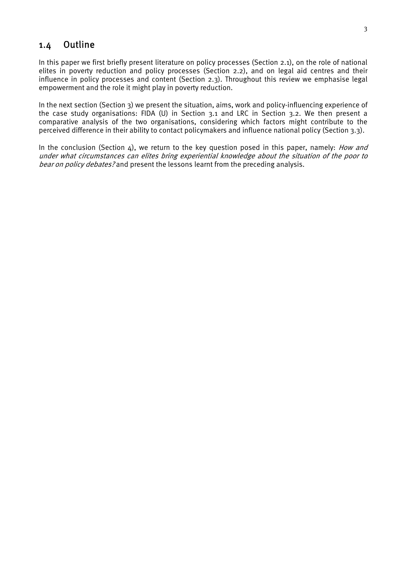## 1.4 Outline

In this paper we first briefly present literature on policy processes (Section 2.1), on the role of national elites in poverty reduction and policy processes (Section 2.2), and on legal aid centres and their influence in policy processes and content (Section 2.3). Throughout this review we emphasise legal empowerment and the role it might play in poverty reduction.

In the next section (Section 3) we present the situation, aims, work and policy-influencing experience of the case study organisations: FIDA (U) in Section 3.1 and LRC in Section 3.2. We then present a comparative analysis of the two organisations, considering which factors might contribute to the perceived difference in their ability to contact policymakers and influence national policy (Section 3.3).

In the conclusion (Section  $\Delta$ ), we return to the key question posed in this paper, namely: *How and* under what circumstances can elites bring experiential knowledge about the situation of the poor to bear on policy debates? and present the lessons learnt from the preceding analysis.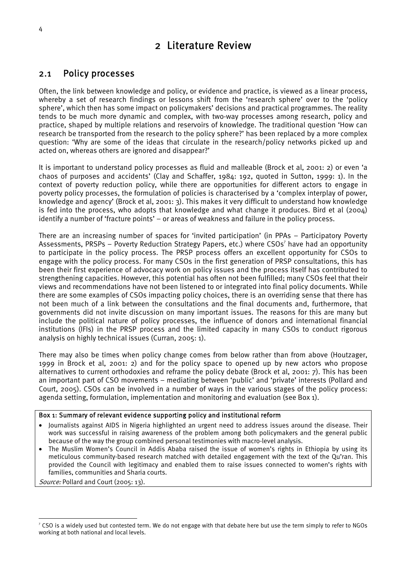# 2 Literature Review

## 2.1 Policy processes

Often, the link between knowledge and policy, or evidence and practice, is viewed as a linear process, whereby a set of research findings or lessons shift from the 'research sphere' over to the 'policy sphere', which then has some impact on policymakers' decisions and practical programmes. The reality tends to be much more dynamic and complex, with two-way processes among research, policy and practice, shaped by multiple relations and reservoirs of knowledge. The traditional question 'How can research be transported from the research to the policy sphere?' has been replaced by a more complex question: 'Why are some of the ideas that circulate in the research/policy networks picked up and acted on, whereas others are ignored and disappear?'

It is important to understand policy processes as fluid and malleable (Brock et al, 2001: 2) or even 'a chaos of purposes and accidents' (Clay and Schaffer, 1984: 192, quoted in Sutton, 1999: 1). In the context of poverty reduction policy, while there are opportunities for different actors to engage in poverty policy processes, the formulation of policies is characterised by a 'complex interplay of power, knowledge and agency' (Brock et al, 2001: 3). This makes it very difficult to understand how knowledge is fed into the process, who adopts that knowledge and what change it produces. Bird et al (2004) identify a number of 'fracture points' – or areas of weakness and failure in the policy process.

There are an increasing number of spaces for 'invited participation' (in PPAs – Participatory Poverty Assessments, PRSPs - Poverty Reduction Strategy Papers, etc.) where CSOs<sup>7</sup> have had an opportunity to participate in the policy process. The PRSP process offers an excellent opportunity for CSOs to engage with the policy process. For many CSOs in the first generation of PRSP consultations, this has been their first experience of advocacy work on policy issues and the process itself has contributed to strengthening capacities. However, this potential has often not been fulfilled; many CSOs feel that their views and recommendations have not been listened to or integrated into final policy documents. While there are some examples of CSOs impacting policy choices, there is an overriding sense that there has not been much of a link between the consultations and the final documents and, furthermore, that governments did not invite discussion on many important issues. The reasons for this are many but include the political nature of policy processes, the influence of donors and international financial institutions (IFIs) in the PRSP process and the limited capacity in many CSOs to conduct rigorous analysis on highly technical issues (Curran, 2005: 1).

There may also be times when policy change comes from below rather than from above (Houtzager, 1999 in Brock et al, 2001: 2) and for the policy space to opened up by new actors who propose alternatives to current orthodoxies and reframe the policy debate (Brock et al, 2001: 7). This has been an important part of CSO movements – mediating between 'public' and 'private' interests (Pollard and Court, 2005). CSOs can be involved in a number of ways in the various stages of the policy process: agenda setting, formulation, implementation and monitoring and evaluation (see Box 1).

### Box 1: Summary of relevant evidence supporting policy and institutional reform

- Journalists against AIDS in Nigeria highlighted an urgent need to address issues around the disease. Their work was successful in raising awareness of the problem among both policymakers and the general public because of the way the group combined personal testimonies with macro-level analysis.
- The Muslim Women's Council in Addis Ababa raised the issue of women's rights in Ethiopia by using its meticulous community-based research matched with detailed engagement with the text of the Qu'ran. This provided the Council with legitimacy and enabled them to raise issues connected to women's rights with families, communities and Sharia courts.

Source: Pollard and Court (2005: 13).

<sup>7</sup> CSO is a widely used but contested term. We do not engage with that debate here but use the term simply to refer to NGOs working at both national and local levels.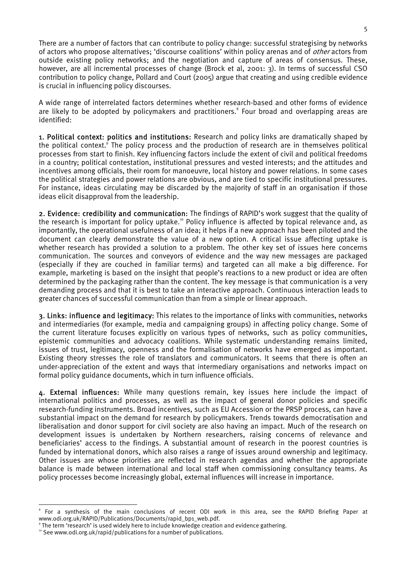There are a number of factors that can contribute to policy change: successful strategising by networks of actors who propose alternatives; 'discourse coalitions' within policy arenas and of *other* actors from outside existing policy networks; and the negotiation and capture of areas of consensus. These, however, are all incremental processes of change (Brock et al, 2001: 3). In terms of successful CSO contribution to policy change, Pollard and Court (2005) argue that creating and using credible evidence is crucial in influencing policy discourses.

A wide range of interrelated factors determines whether research-based and other forms of evidence are likely to be adopted by policymakers and practitioners.<sup>8</sup> Four broad and overlapping areas are identified:

1. Political context: politics and institutions: Research and policy links are dramatically shaped by the political context.<sup>9</sup> The policy process and the production of research are in themselves political processes from start to finish. Key influencing factors include the extent of civil and political freedoms in a country; political contestation, institutional pressures and vested interests; and the attitudes and incentives among officials, their room for manoeuvre, local history and power relations. In some cases the political strategies and power relations are obvious, and are tied to specific institutional pressures. For instance, ideas circulating may be discarded by the majority of staff in an organisation if those ideas elicit disapproval from the leadership.

2. Evidence: credibility and communication: The findings of RAPID's work suggest that the quality of the research is important for policy uptake.<sup>10</sup> Policy influence is affected by topical relevance and, as importantly, the operational usefulness of an idea; it helps if a new approach has been piloted and the document can clearly demonstrate the value of a new option. A critical issue affecting uptake is whether research has provided a solution to a problem. The other key set of issues here concerns communication. The sources and conveyors of evidence and the way new messages are packaged (especially if they are couched in familiar terms) and targeted can all make a big difference. For example, marketing is based on the insight that people's reactions to a new product or idea are often determined by the packaging rather than the content. The key message is that communication is a very demanding process and that it is best to take an interactive approach. Continuous interaction leads to greater chances of successful communication than from a simple or linear approach.

3. Links: influence and legitimacy: This relates to the importance of links with communities, networks and intermediaries (for example, media and campaigning groups) in affecting policy change. Some of the current literature focuses explicitly on various types of networks, such as policy communities, epistemic communities and advocacy coalitions. While systematic understanding remains limited, issues of trust, legitimacy, openness and the formalisation of networks have emerged as important. Existing theory stresses the role of translators and communicators. It seems that there is often an under-appreciation of the extent and ways that intermediary organisations and networks impact on formal policy guidance documents, which in turn influence officials.

4. External influences: While many questions remain, key issues here include the impact of international politics and processes, as well as the impact of general donor policies and specific research-funding instruments. Broad incentives, such as EU Accession or the PRSP process, can have a substantial impact on the demand for research by policymakers. Trends towards democratisation and liberalisation and donor support for civil society are also having an impact. Much of the research on development issues is undertaken by Northern researchers, raising concerns of relevance and beneficiaries' access to the findings. A substantial amount of research in the poorest countries is funded by international donors, which also raises a range of issues around ownership and legitimacy. Other issues are whose priorities are reflected in research agendas and whether the appropriate balance is made between international and local staff when commissioning consultancy teams. As policy processes become increasingly global, external influences will increase in importance.

<sup>8</sup> For a synthesis of the main conclusions of recent ODI work in this area, see the RAPID Briefing Paper at www.odi.org.uk/RAPID/Publications/Documents/rapid\_bp1\_web.pdf. 9

<sup>&</sup>lt;sup>9</sup> The term 'research' is used widely here to include knowledge creation and evidence gathering.<br><sup>10</sup> See www.odi.org.uk/rapid/publications for a number of publications.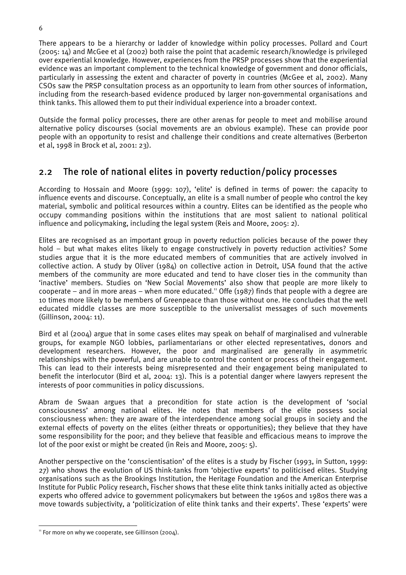There appears to be a hierarchy or ladder of knowledge within policy processes. Pollard and Court (2005: 14) and McGee et al (2002) both raise the point that academic research/knowledge is privileged over experiential knowledge. However, experiences from the PRSP processes show that the experiential evidence was an important complement to the technical knowledge of government and donor officials, particularly in assessing the extent and character of poverty in countries (McGee et al, 2002). Many CSOs saw the PRSP consultation process as an opportunity to learn from other sources of information, including from the research-based evidence produced by larger non-governmental organisations and think tanks. This allowed them to put their individual experience into a broader context.

Outside the formal policy processes, there are other arenas for people to meet and mobilise around alternative policy discourses (social movements are an obvious example). These can provide poor people with an opportunity to resist and challenge their conditions and create alternatives (Berberton et al, 1998 in Brock et al, 2001: 23).

## 2.2 The role of national elites in poverty reduction/policy processes

According to Hossain and Moore (1999: 107), 'elite' is defined in terms of power: the capacity to influence events and discourse. Conceptually, an elite is a small number of people who control the key material, symbolic and political resources within a country. Elites can be identified as the people who occupy commanding positions within the institutions that are most salient to national political influence and policymaking, including the legal system (Reis and Moore, 2005: 2).

Elites are recognised as an important group in poverty reduction policies because of the power they hold – but what makes elites likely to engage constructively in poverty reduction activities? Some studies argue that it is the more educated members of communities that are actively involved in collective action. A study by Oliver (1984) on collective action in Detroit, USA found that the active members of the community are more educated and tend to have closer ties in the community than 'inactive' members. Studies on 'New Social Movements' also show that people are more likely to cooperate – and in more areas – when more educated.<sup>11</sup> Offe (1987) finds that people with a degree are 10 times more likely to be members of Greenpeace than those without one. He concludes that the well educated middle classes are more susceptible to the universalist messages of such movements (Gillinson, 2004: 11).

Bird et al (2004) argue that in some cases elites may speak on behalf of marginalised and vulnerable groups, for example NGO lobbies, parliamentarians or other elected representatives, donors and development researchers. However, the poor and marginalised are generally in asymmetric relationships with the powerful, and are unable to control the content or process of their engagement. This can lead to their interests being misrepresented and their engagement being manipulated to benefit the interlocutor (Bird et al, 2004: 13). This is a potential danger where lawyers represent the interests of poor communities in policy discussions.

Abram de Swaan argues that a precondition for state action is the development of 'social consciousness' among national elites. He notes that members of the elite possess social consciousness when: they are aware of the interdependence among social groups in society and the external effects of poverty on the elites (either threats or opportunities); they believe that they have some responsibility for the poor; and they believe that feasible and efficacious means to improve the lot of the poor exist or might be created (in Reis and Moore, 2005: 5).

Another perspective on the 'conscientisation' of the elites is a study by Fischer (1993, in Sutton, 1999: 27) who shows the evolution of US think-tanks from 'objective experts' to politicised elites. Studying organisations such as the Brookings Institution, the Heritage Foundation and the American Enterprise Institute for Public Policy research, Fischer shows that these elite think tanks initially acted as objective experts who offered advice to government policymakers but between the 1960s and 1980s there was a move towards subjectivity, a 'politicization of elite think tanks and their experts'. These 'experts' were

 $\overline{a}$ 

<sup>&</sup>lt;sup>11</sup> For more on why we cooperate, see Gillinson (2004).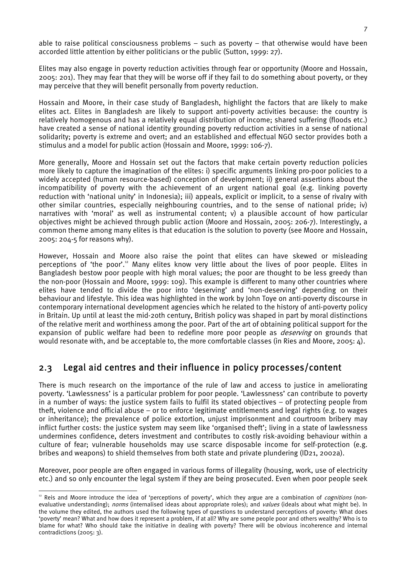able to raise political consciousness problems – such as poverty – that otherwise would have been accorded little attention by either politicians or the public (Sutton, 1999: 27).

Elites may also engage in poverty reduction activities through fear or opportunity (Moore and Hossain, 2005: 201). They may fear that they will be worse off if they fail to do something about poverty, or they may perceive that they will benefit personally from poverty reduction.

Hossain and Moore, in their case study of Bangladesh, highlight the factors that are likely to make elites act. Elites in Bangladesh are likely to support anti-poverty activities because: the country is relatively homogenous and has a relatively equal distribution of income; shared suffering (floods etc.) have created a sense of national identity grounding poverty reduction activities in a sense of national solidarity; poverty is extreme and overt; and an established and effectual NGO sector provides both a stimulus and a model for public action (Hossain and Moore, 1999: 106-7).

More generally, Moore and Hossain set out the factors that make certain poverty reduction policies more likely to capture the imagination of the elites: i) specific arguments linking pro-poor policies to a widely accepted (human resource-based) conception of development; ii) general assertions about the incompatibility of poverty with the achievement of an urgent national goal (e.g. linking poverty reduction with 'national unity' in Indonesia); iii) appeals, explicit or implicit, to a sense of rivalry with other similar countries, especially neighbouring countries, and to the sense of national pride; iv) narratives with 'moral' as well as instrumental content; v) a plausible account of how particular objectives might be achieved through public action (Moore and Hossain, 2005: 206-7). Interestingly, a common theme among many elites is that education is the solution to poverty (see Moore and Hossain, 2005: 204-5 for reasons why).

However, Hossain and Moore also raise the point that elites can have skewed or misleading perceptions of 'the poor'.<sup>12</sup> Many elites know very little about the lives of poor people. Elites in Bangladesh bestow poor people with high moral values; the poor are thought to be less greedy than the non-poor (Hossain and Moore, 1999: 109). This example is different to many other countries where elites have tended to divide the poor into 'deserving' and 'non-deserving' depending on their behaviour and lifestyle. This idea was highlighted in the work by John Toye on anti-poverty discourse in contemporary international development agencies which he related to the history of anti-poverty policy in Britain. Up until at least the mid-2oth century, British policy was shaped in part by moral distinctions of the relative merit and worthiness among the poor. Part of the art of obtaining political support for the expansion of public welfare had been to redefine more poor people as *deserving* on grounds that would resonate with, and be acceptable to, the more comfortable classes (in Ries and Moore, 2005: 4).

## 2.3 Legal aid centres and their influence in policy processes/content

There is much research on the importance of the rule of law and access to justice in ameliorating poverty. 'Lawlessness' is a particular problem for poor people. 'Lawlessness' can contribute to poverty in a number of ways: the justice system fails to fulfil its stated objectives – of protecting people from theft, violence and official abuse – or to enforce legitimate entitlements and legal rights (e.g. to wages or inheritance); the prevalence of police extortion, unjust imprisonment and courtroom bribery may inflict further costs: the justice system may seem like 'organised theft'; living in a state of lawlessness undermines confidence, deters investment and contributes to costly risk-avoiding behaviour within a culture of fear; vulnerable households may use scarce disposable income for self-protection (e.g. bribes and weapons) to shield themselves from both state and private plundering (ID21, 2002a).

Moreover, poor people are often engaged in various forms of illegality (housing, work, use of electricity etc.) and so only encounter the legal system if they are being prosecuted. Even when poor people seek

 $\overline{a}$ <sup>12</sup> Reis and Moore introduce the idea of 'perceptions of poverty', which they argue are a combination of *cognitions* (nonevaluative understanding); *norms* (internalised ideas about appropriate roles); and *values* (ideals about what might be). In the volume they edited, the authors used the following types of questions to understand perceptions of poverty: What does 'poverty' mean? What and how does it represent a problem, if at all? Why are some people poor and others wealthy? Who is to blame for what? Who should take the initiative in dealing with poverty? There will be obvious incoherence and internal contradictions (2005: 3).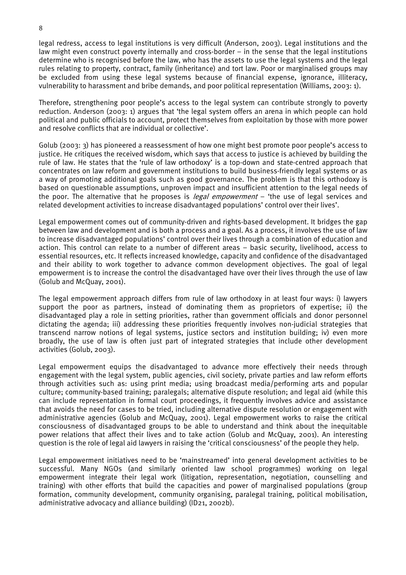legal redress, access to legal institutions is very difficult (Anderson, 2003). Legal institutions and the law might even construct poverty internally and cross-border – in the sense that the legal institutions determine who is recognised before the law, who has the assets to use the legal systems and the legal rules relating to property, contract, family (inheritance) and tort law. Poor or marginalised groups may be excluded from using these legal systems because of financial expense, ignorance, illiteracy, vulnerability to harassment and bribe demands, and poor political representation (Williams, 2003: 1).

Therefore, strengthening poor people's access to the legal system can contribute strongly to poverty reduction. Anderson (2003: 1) argues that 'the legal system offers an arena in which people can hold political and public officials to account, protect themselves from exploitation by those with more power and resolve conflicts that are individual or collective'.

Golub (2003: 3) has pioneered a reassessment of how one might best promote poor people's access to justice. He critiques the received wisdom, which says that access to justice is achieved by building the rule of law. He states that the 'rule of law orthodoxy' is a top-down and state-centred approach that concentrates on law reform and government institutions to build business-friendly legal systems or as a way of promoting additional goals such as good governance. The problem is that this orthodoxy is based on questionable assumptions, unproven impact and insufficient attention to the legal needs of the poor. The alternative that he proposes is *legal empowerment*  $-$  'the use of legal services and related development activities to increase disadvantaged populations' control over their lives'.

Legal empowerment comes out of community-driven and rights-based development. It bridges the gap between law and development and is both a process and a goal. As a process, it involves the use of law to increase disadvantaged populations' control over their lives through a combination of education and action. This control can relate to a number of different areas – basic security, livelihood, access to essential resources, etc. It reflects increased knowledge, capacity and confidence of the disadvantaged and their ability to work together to advance common development objectives. The goal of legal empowerment is to increase the control the disadvantaged have over their lives through the use of law (Golub and McQuay, 2001).

The legal empowerment approach differs from rule of law orthodoxy in at least four ways: i) lawyers support the poor as partners, instead of dominating them as proprietors of expertise; ii) the disadvantaged play a role in setting priorities, rather than government officials and donor personnel dictating the agenda; iii) addressing these priorities frequently involves non-judicial strategies that transcend narrow notions of legal systems, justice sectors and institution building; iv) even more broadly, the use of law is often just part of integrated strategies that include other development activities (Golub, 2003).

Legal empowerment equips the disadvantaged to advance more effectively their needs through engagement with the legal system, public agencies, civil society, private parties and law reform efforts through activities such as: using print media; using broadcast media/performing arts and popular culture; community-based training; paralegals; alternative dispute resolution; and legal aid (while this can include representation in formal court proceedings, it frequently involves advice and assistance that avoids the need for cases to be tried, including alternative dispute resolution or engagement with administrative agencies (Golub and McQuay, 2001). Legal empowerment works to raise the critical consciousness of disadvantaged groups to be able to understand and think about the inequitable power relations that affect their lives and to take action (Golub and McQuay, 2001). An interesting question is the role of legal aid lawyers in raising the 'critical consciousness' of the people they help.

Legal empowerment initiatives need to be 'mainstreamed' into general development activities to be successful. Many NGOs (and similarly oriented law school programmes) working on legal empowerment integrate their legal work (litigation, representation, negotiation, counselling and training) with other efforts that build the capacities and power of marginalised populations (group formation, community development, community organising, paralegal training, political mobilisation, administrative advocacy and alliance building) (ID21, 2002b).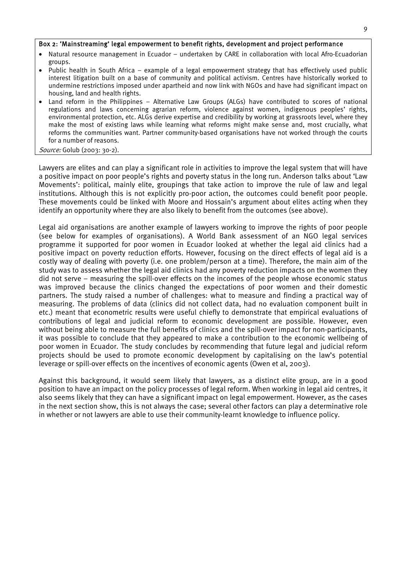#### Box 2: 'Mainstreaming' legal empowerment to benefit rights, development and project performance

- Natural resource management in Ecuador undertaken by CARE in collaboration with local Afro-Ecuadorian groups.
- Public health in South Africa example of a legal empowerment strategy that has effectively used public interest litigation built on a base of community and political activism. Centres have historically worked to undermine restrictions imposed under apartheid and now link with NGOs and have had significant impact on housing, land and health rights.
- Land reform in the Philippines Alternative Law Groups (ALGs) have contributed to scores of national regulations and laws concerning agrarian reform, violence against women, indigenous peoples' rights, environmental protection, etc. ALGs derive expertise and credibility by working at grassroots level, where they make the most of existing laws while learning what reforms might make sense and, most crucially, what reforms the communities want. Partner community-based organisations have not worked through the courts for a number of reasons.

#### Source: Golub (2003: 30-2).

Lawyers are elites and can play a significant role in activities to improve the legal system that will have a positive impact on poor people's rights and poverty status in the long run. Anderson talks about 'Law Movements': political, mainly elite, groupings that take action to improve the rule of law and legal institutions. Although this is not explicitly pro-poor action, the outcomes could benefit poor people. These movements could be linked with Moore and Hossain's argument about elites acting when they identify an opportunity where they are also likely to benefit from the outcomes (see above).

Legal aid organisations are another example of lawyers working to improve the rights of poor people (see below for examples of organisations). A World Bank assessment of an NGO legal services programme it supported for poor women in Ecuador looked at whether the legal aid clinics had a positive impact on poverty reduction efforts. However, focusing on the direct effects of legal aid is a costly way of dealing with poverty (i.e. one problem/person at a time). Therefore, the main aim of the study was to assess whether the legal aid clinics had any poverty reduction impacts on the women they did not serve – measuring the spill-over effects on the incomes of the people whose economic status was improved because the clinics changed the expectations of poor women and their domestic partners. The study raised a number of challenges: what to measure and finding a practical way of measuring. The problems of data (clinics did not collect data, had no evaluation component built in etc.) meant that econometric results were useful chiefly to demonstrate that empirical evaluations of contributions of legal and judicial reform to economic development are possible. However, even without being able to measure the full benefits of clinics and the spill-over impact for non-participants, it was possible to conclude that they appeared to make a contribution to the economic wellbeing of poor women in Ecuador. The study concludes by recommending that future legal and judicial reform projects should be used to promote economic development by capitalising on the law's potential leverage or spill-over effects on the incentives of economic agents (Owen et al, 2003).

Against this background, it would seem likely that lawyers, as a distinct elite group, are in a good position to have an impact on the policy processes of legal reform. When working in legal aid centres, it also seems likely that they can have a significant impact on legal empowerment. However, as the cases in the next section show, this is not always the case; several other factors can play a determinative role in whether or not lawyers are able to use their community-learnt knowledge to influence policy.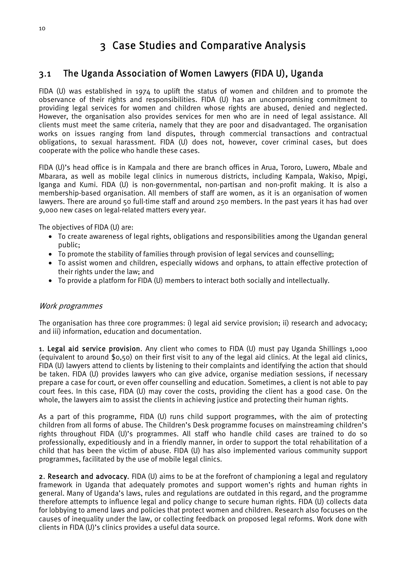# 3 Case Studies and Comparative Analysis

## 3.1 The Uganda Association of Women Lawyers (FIDA U), Uganda

FIDA (U) was established in 1974 to uplift the status of women and children and to promote the observance of their rights and responsibilities. FIDA (U) has an uncompromising commitment to providing legal services for women and children whose rights are abused, denied and neglected. However, the organisation also provides services for men who are in need of legal assistance. All clients must meet the same criteria, namely that they are poor and disadvantaged. The organisation works on issues ranging from land disputes, through commercial transactions and contractual obligations, to sexual harassment. FIDA (U) does not, however, cover criminal cases, but does cooperate with the police who handle these cases.

FIDA (U)'s head office is in Kampala and there are branch offices in Arua, Tororo, Luwero, Mbale and Mbarara, as well as mobile legal clinics in numerous districts, including Kampala, Wakiso, Mpigi, Iganga and Kumi. FIDA (U) is non-governmental, non-partisan and non-profit making. It is also a membership-based organisation. All members of staff are women, as it is an organisation of women lawyers. There are around 50 full-time staff and around 250 members. In the past years it has had over 9,000 new cases on legal-related matters every year.

The objectives of FIDA (U) are:

- To create awareness of legal rights, obligations and responsibilities among the Ugandan general public;
- To promote the stability of families through provision of legal services and counselling;
- To assist women and children, especially widows and orphans, to attain effective protection of their rights under the law; and
- To provide a platform for FIDA (U) members to interact both socially and intellectually.

### Work programmes

The organisation has three core programmes: i) legal aid service provision; ii) research and advocacy; and iii) information, education and documentation.

1. Legal aid service provision. Any client who comes to FIDA (U) must pay Uganda Shillings 1,000 (equivalent to around \$0,50) on their first visit to any of the legal aid clinics. At the legal aid clinics, FIDA (U) lawyers attend to clients by listening to their complaints and identifying the action that should be taken. FIDA (U) provides lawyers who can give advice, organise mediation sessions, if necessary prepare a case for court, or even offer counselling and education. Sometimes, a client is not able to pay court fees. In this case, FIDA (U) may cover the costs, providing the client has a good case. On the whole, the lawyers aim to assist the clients in achieving justice and protecting their human rights.

As a part of this programme, FIDA (U) runs child support programmes, with the aim of protecting children from all forms of abuse. The Children's Desk programme focuses on mainstreaming children's rights throughout FIDA (U)'s programmes. All staff who handle child cases are trained to do so professionally, expeditiously and in a friendly manner, in order to support the total rehabilitation of a child that has been the victim of abuse. FIDA (U) has also implemented various community support programmes, facilitated by the use of mobile legal clinics.

2. Research and advocacy. FIDA (U) aims to be at the forefront of championing a legal and regulatory framework in Uganda that adequately promotes and support women's rights and human rights in general. Many of Uganda's laws, rules and regulations are outdated in this regard, and the programme therefore attempts to influence legal and policy change to secure human rights. FIDA (U) collects data for lobbying to amend laws and policies that protect women and children. Research also focuses on the causes of inequality under the law, or collecting feedback on proposed legal reforms. Work done with clients in FIDA (U)'s clinics provides a useful data source.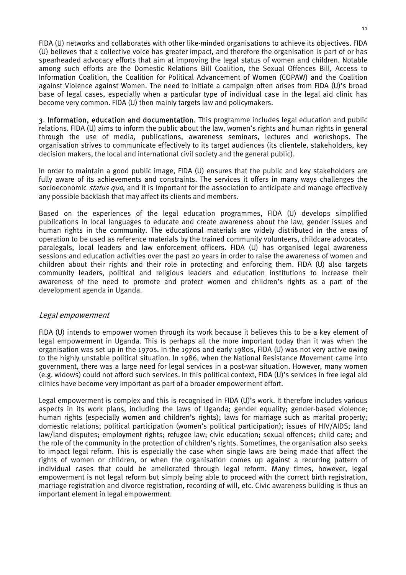FIDA (U) networks and collaborates with other like-minded organisations to achieve its objectives. FIDA (U) believes that a collective voice has greater impact, and therefore the organisation is part of or has spearheaded advocacy efforts that aim at improving the legal status of women and children. Notable among such efforts are the Domestic Relations Bill Coalition, the Sexual Offences Bill, Access to Information Coalition, the Coalition for Political Advancement of Women (COPAW) and the Coalition against Violence against Women. The need to initiate a campaign often arises from FIDA (U)'s broad base of legal cases, especially when a particular type of individual case in the legal aid clinic has become very common. FIDA (U) then mainly targets law and policymakers.

3. Information, education and documentation. This programme includes legal education and public relations. FIDA (U) aims to inform the public about the law, women's rights and human rights in general through the use of media, publications, awareness seminars, lectures and workshops. The organisation strives to communicate effectively to its target audiences (its clientele, stakeholders, key decision makers, the local and international civil society and the general public).

In order to maintain a good public image, FIDA (U) ensures that the public and key stakeholders are fully aware of its achievements and constraints. The services it offers in many ways challenges the socioeconomic *status quo*, and it is important for the association to anticipate and manage effectively any possible backlash that may affect its clients and members.

Based on the experiences of the legal education programmes, FIDA (U) develops simplified publications in local languages to educate and create awareness about the law, gender issues and human rights in the community. The educational materials are widely distributed in the areas of operation to be used as reference materials by the trained community volunteers, childcare advocates, paralegals, local leaders and law enforcement officers. FIDA (U) has organised legal awareness sessions and education activities over the past 20 years in order to raise the awareness of women and children about their rights and their role in protecting and enforcing them. FIDA (U) also targets community leaders, political and religious leaders and education institutions to increase their awareness of the need to promote and protect women and children's rights as a part of the development agenda in Uganda.

### Legal empowerment

FIDA (U) intends to empower women through its work because it believes this to be a key element of legal empowerment in Uganda. This is perhaps all the more important today than it was when the organisation was set up in the 1970s. In the 1970s and early 1980s, FIDA (U) was not very active owing to the highly unstable political situation. In 1986, when the National Resistance Movement came into government, there was a large need for legal services in a post-war situation. However, many women (e.g. widows) could not afford such services. In this political context, FIDA (U)'s services in free legal aid clinics have become very important as part of a broader empowerment effort.

Legal empowerment is complex and this is recognised in FIDA (U)'s work. It therefore includes various aspects in its work plans, including the laws of Uganda; gender equality; gender-based violence; human rights (especially women and children's rights); laws for marriage such as marital property; domestic relations; political participation (women's political participation); issues of HIV/AIDS; land law/land disputes; employment rights; refugee law; civic education; sexual offences; child care; and the role of the community in the protection of children's rights. Sometimes, the organisation also seeks to impact legal reform. This is especially the case when single laws are being made that affect the rights of women or children, or when the organisation comes up against a recurring pattern of individual cases that could be ameliorated through legal reform. Many times, however, legal empowerment is not legal reform but simply being able to proceed with the correct birth registration, marriage registration and divorce registration, recording of will, etc. Civic awareness building is thus an important element in legal empowerment.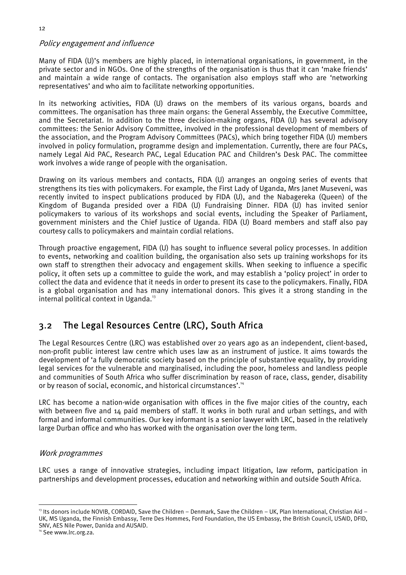## Policy engagement and influence

Many of FIDA (U)'s members are highly placed, in international organisations, in government, in the private sector and in NGOs. One of the strengths of the organisation is thus that it can 'make friends' and maintain a wide range of contacts. The organisation also employs staff who are 'networking representatives' and who aim to facilitate networking opportunities.

In its networking activities, FIDA (U) draws on the members of its various organs, boards and committees. The organisation has three main organs: the General Assembly, the Executive Committee, and the Secretariat. In addition to the three decision-making organs, FIDA (U) has several advisory committees: the Senior Advisory Committee, involved in the professional development of members of the association, and the Program Advisory Committees (PACs), which bring together FIDA (U) members involved in policy formulation, programme design and implementation. Currently, there are four PACs, namely Legal Aid PAC, Research PAC, Legal Education PAC and Children's Desk PAC. The committee work involves a wide range of people with the organisation.

Drawing on its various members and contacts, FIDA (U) arranges an ongoing series of events that strengthens its ties with policymakers. For example, the First Lady of Uganda, Mrs Janet Museveni, was recently invited to inspect publications produced by FIDA (U), and the Nabagereka (Queen) of the Kingdom of Buganda presided over a FIDA (U) Fundraising Dinner. FIDA (U) has invited senior policymakers to various of its workshops and social events, including the Speaker of Parliament, government ministers and the Chief Justice of Uganda. FIDA (U) Board members and staff also pay courtesy calls to policymakers and maintain cordial relations.

Through proactive engagement, FIDA (U) has sought to influence several policy processes. In addition to events, networking and coalition building, the organisation also sets up training workshops for its own staff to strengthen their advocacy and engagement skills. When seeking to influence a specific policy, it often sets up a committee to guide the work, and may establish a 'policy project' in order to collect the data and evidence that it needs in order to present its case to the policymakers. Finally, FIDA is a global organisation and has many international donors. This gives it a strong standing in the internal political context in Uganda.<sup>13</sup>

## 3.2 The Legal Resources Centre (LRC), South Africa

The Legal Resources Centre (LRC) was established over 20 years ago as an independent, client-based, non-profit public interest law centre which uses law as an instrument of justice. It aims towards the development of 'a fully democratic society based on the principle of substantive equality, by providing legal services for the vulnerable and marginalised, including the poor, homeless and landless people and communities of South Africa who suffer discrimination by reason of race, class, gender, disability or by reason of social, economic, and historical circumstances'.<sup>14</sup>

LRC has become a nation-wide organisation with offices in the five major cities of the country, each with between five and 14 paid members of staff. It works in both rural and urban settings, and with formal and informal communities. Our key informant is a senior lawyer with LRC, based in the relatively large Durban office and who has worked with the organisation over the long term.

### Work programmes

LRC uses a range of innovative strategies, including impact litigation, law reform, participation in partnerships and development processes, education and networking within and outside South Africa.

 13 Its donors include NOVIB, CORDAID, Save the Children – Denmark, Save the Children – UK, Plan International, Christian Aid – UK, MS Uganda, the Finnish Embassy, Terre Des Hommes, Ford Foundation, the US Embassy, the British Council, USAID, DFID, SNV, AES Nile Power, Danida and AUSAID.

<sup>&</sup>lt;sup>14</sup> See www.lrc.org.za.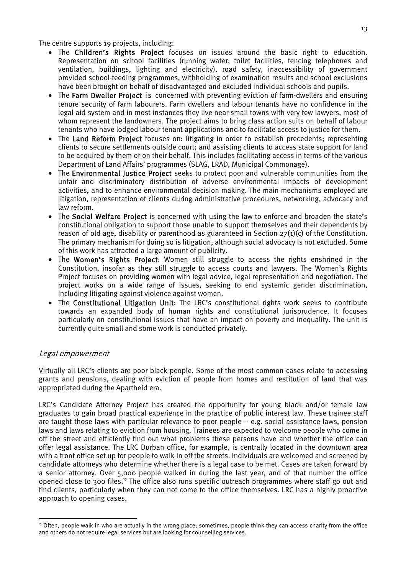The centre supports 19 projects, including:

- The Children's Rights Project focuses on issues around the basic right to education. Representation on school facilities (running water, toilet facilities, fencing telephones and ventilation, buildings, lighting and electricity), road safety, inaccessibility of government provided school-feeding programmes, withholding of examination results and school exclusions have been brought on behalf of disadvantaged and excluded individual schools and pupils.
- The Farm Dweller Project is concerned with preventing eviction of farm-dwellers and ensuring tenure security of farm labourers. Farm dwellers and labour tenants have no confidence in the legal aid system and in most instances they live near small towns with very few lawyers, most of whom represent the landowners. The project aims to bring class action suits on behalf of labour tenants who have lodged labour tenant applications and to facilitate access to justice for them.
- The Land Reform Project focuses on: litigating in order to establish precedents; representing clients to secure settlements outside court; and assisting clients to access state support for land to be acquired by them or on their behalf. This includes facilitating access in terms of the various Department of Land Affairs' programmes (SLAG, LRAD, Municipal Commonage).
- The Environmental Justice Project seeks to protect poor and vulnerable communities from the unfair and discriminatory distribution of adverse environmental impacts of development activities, and to enhance environmental decision making. The main mechanisms employed are litigation, representation of clients during administrative procedures, networking, advocacy and law reform.
- The Social Welfare Project is concerned with using the law to enforce and broaden the state's constitutional obligation to support those unable to support themselves and their dependents by reason of old age, disability or parenthood as guaranteed in Section  $27(1)(c)$  of the Constitution. The primary mechanism for doing so is litigation, although social advocacy is not excluded. Some of this work has attracted a large amount of publicity.
- The Women's Rights Project: Women still struggle to access the rights enshrined in the Constitution, insofar as they still struggle to access courts and lawyers. The Women's Rights Project focuses on providing women with legal advice, legal representation and negotiation. The project works on a wide range of issues, seeking to end systemic gender discrimination, including litigating against violence against women.
- The Constitutional Litigation Unit: The LRC's constitutional rights work seeks to contribute towards an expanded body of human rights and constitutional jurisprudence. It focuses particularly on constitutional issues that have an impact on poverty and inequality. The unit is currently quite small and some work is conducted privately.

## Legal empowerment

Virtually all LRC's clients are poor black people. Some of the most common cases relate to accessing grants and pensions, dealing with eviction of people from homes and restitution of land that was appropriated during the Apartheid era.

LRC's Candidate Attorney Project has created the opportunity for young black and/or female law graduates to gain broad practical experience in the practice of public interest law. These trainee staff are taught those laws with particular relevance to poor people – e.g. social assistance laws, pension laws and laws relating to eviction from housing. Trainees are expected to welcome people who come in off the street and efficiently find out what problems these persons have and whether the office can offer legal assistance. The LRC Durban office, for example, is centrally located in the downtown area with a front office set up for people to walk in off the streets. Individuals are welcomed and screened by candidate attorneys who determine whether there is a legal case to be met. Cases are taken forward by a senior attorney. Over 5,000 people walked in during the last year, and of that number the office opened close to 300 files.<sup>15</sup> The office also runs specific outreach programmes where staff go out and find clients, particularly when they can not come to the office themselves. LRC has a highly proactive approach to opening cases.

<sup>&</sup>lt;sup>15</sup> Often, people walk in who are actually in the wrong place; sometimes, people think they can access charity from the office and others do not require legal services but are looking for counselling services.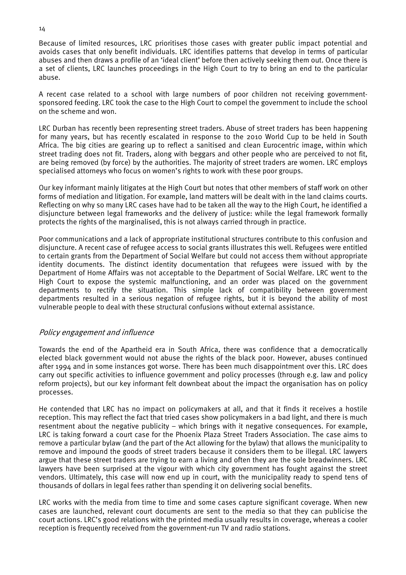Because of limited resources, LRC prioritises those cases with greater public impact potential and avoids cases that only benefit individuals. LRC identifies patterns that develop in terms of particular abuses and then draws a profile of an 'ideal client' before then actively seeking them out. Once there is a set of clients, LRC launches proceedings in the High Court to try to bring an end to the particular abuse.

A recent case related to a school with large numbers of poor children not receiving governmentsponsored feeding. LRC took the case to the High Court to compel the government to include the school on the scheme and won.

LRC Durban has recently been representing street traders. Abuse of street traders has been happening for many years, but has recently escalated in response to the 2010 World Cup to be held in South Africa. The big cities are gearing up to reflect a sanitised and clean Eurocentric image, within which street trading does not fit. Traders, along with beggars and other people who are perceived to not fit, are being removed (by force) by the authorities. The majority of street traders are women. LRC employs specialised attorneys who focus on women's rights to work with these poor groups.

Our key informant mainly litigates at the High Court but notes that other members of staff work on other forms of mediation and litigation. For example, land matters will be dealt with in the land claims courts. Reflecting on why so many LRC cases have had to be taken all the way to the High Court, he identified a disjuncture between legal frameworks and the delivery of justice: while the legal framework formally protects the rights of the marginalised, this is not always carried through in practice.

Poor communications and a lack of appropriate institutional structures contribute to this confusion and disjuncture. A recent case of refugee access to social grants illustrates this well. Refugees were entitled to certain grants from the Department of Social Welfare but could not access them without appropriate identity documents. The distinct identity documentation that refugees were issued with by the Department of Home Affairs was not acceptable to the Department of Social Welfare. LRC went to the High Court to expose the systemic malfunctioning, and an order was placed on the government departments to rectify the situation. This simple lack of compatibility between government departments resulted in a serious negation of refugee rights, but it is beyond the ability of most vulnerable people to deal with these structural confusions without external assistance.

### Policy engagement and influence

Towards the end of the Apartheid era in South Africa, there was confidence that a democratically elected black government would not abuse the rights of the black poor. However, abuses continued after 1994 and in some instances got worse. There has been much disappointment over this. LRC does carry out specific activities to influence government and policy processes (through e.g. law and policy reform projects), but our key informant felt downbeat about the impact the organisation has on policy processes.

He contended that LRC has no impact on policymakers at all, and that it finds it receives a hostile reception. This may reflect the fact that tried cases show policymakers in a bad light, and there is much resentment about the negative publicity – which brings with it negative consequences. For example, LRC is taking forward a court case for the Phoenix Plaza Street Traders Association. The case aims to remove a particular bylaw (and the part of the Act allowing for the bylaw) that allows the municipality to remove and impound the goods of street traders because it considers them to be illegal. LRC lawyers argue that these street traders are trying to earn a living and often they are the sole breadwinners. LRC lawyers have been surprised at the vigour with which city government has fought against the street vendors. Ultimately, this case will now end up in court, with the municipality ready to spend tens of thousands of dollars in legal fees rather than spending it on delivering social benefits.

LRC works with the media from time to time and some cases capture significant coverage. When new cases are launched, relevant court documents are sent to the media so that they can publicise the court actions. LRC's good relations with the printed media usually results in coverage, whereas a cooler reception is frequently received from the government-run TV and radio stations.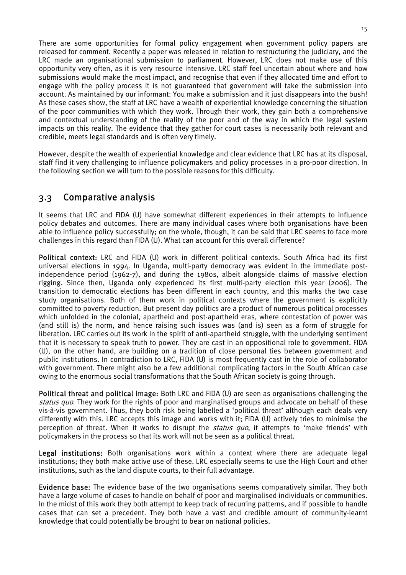There are some opportunities for formal policy engagement when government policy papers are released for comment. Recently a paper was released in relation to restructuring the judiciary, and the LRC made an organisational submission to parliament. However, LRC does not make use of this opportunity very often, as it is very resource intensive. LRC staff feel uncertain about where and how submissions would make the most impact, and recognise that even if they allocated time and effort to engage with the policy process it is not guaranteed that government will take the submission into account. As maintained by our informant: You make a submission and it just disappears into the bush! As these cases show, the staff at LRC have a wealth of experiential knowledge concerning the situation of the poor communities with which they work. Through their work, they gain both a comprehensive and contextual understanding of the reality of the poor and of the way in which the legal system impacts on this reality. The evidence that they gather for court cases is necessarily both relevant and credible, meets legal standards and is often very timely.

However, despite the wealth of experiential knowledge and clear evidence that LRC has at its disposal, staff find it very challenging to influence policymakers and policy processes in a pro-poor direction. In the following section we will turn to the possible reasons for this difficulty.

## 3.3 Comparative analysis

It seems that LRC and FIDA (U) have somewhat different experiences in their attempts to influence policy debates and outcomes. There are many individual cases where both organisations have been able to influence policy successfully; on the whole, though, it can be said that LRC seems to face more challenges in this regard than FIDA (U). What can account for this overall difference?

Political context: LRC and FIDA (U) work in different political contexts. South Africa had its first universal elections in 1994. In Uganda, multi-party democracy was evident in the immediate postindependence period (1962-7), and during the 1980s, albeit alongside claims of massive election rigging. Since then, Uganda only experienced its first multi-party election this year (2006). The transition to democratic elections has been different in each country, and this marks the two case study organisations. Both of them work in political contexts where the government is explicitly committed to poverty reduction. But present day politics are a product of numerous political processes which unfolded in the colonial, apartheid and post-apartheid eras, where contestation of power was (and still is) the norm, and hence raising such issues was (and is) seen as a form of struggle for liberation. LRC carries out its work in the spirit of anti-apartheid struggle, with the underlying sentiment that it is necessary to speak truth to power. They are cast in an oppositional role to government. FIDA (U), on the other hand, are building on a tradition of close personal ties between government and public institutions. In contradiction to LRC, FIDA (U) is most frequently cast in the role of collaborator with government. There might also be a few additional complicating factors in the South African case owing to the enormous social transformations that the South African society is going through.

Political threat and political image: Both LRC and FIDA (U) are seen as organisations challenging the status quo. They work for the rights of poor and marginalised groups and advocate on behalf of these vis-à-vis government. Thus, they both risk being labelled a 'political threat' although each deals very differently with this. LRC accepts this image and works with it; FIDA (U) actively tries to minimise the perception of threat. When it works to disrupt the *status quo*, it attempts to 'make friends' with policymakers in the process so that its work will not be seen as a political threat.

Legal institutions: Both organisations work within a context where there are adequate legal institutions; they both make active use of these. LRC especially seems to use the High Court and other institutions, such as the land dispute courts, to their full advantage.

Evidence base: The evidence base of the two organisations seems comparatively similar. They both have a large volume of cases to handle on behalf of poor and marginalised individuals or communities. In the midst of this work they both attempt to keep track of recurring patterns, and if possible to handle cases that can set a precedent. They both have a vast and credible amount of community-learnt knowledge that could potentially be brought to bear on national policies.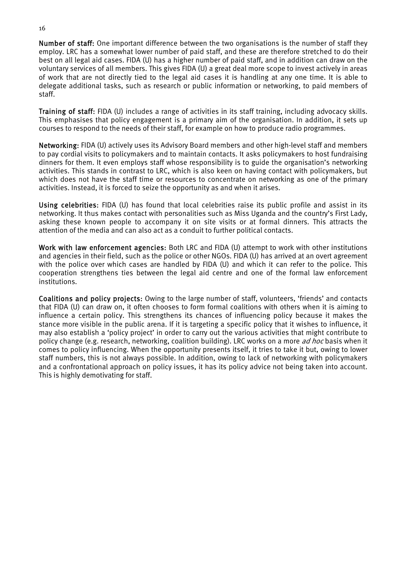Number of staff: One important difference between the two organisations is the number of staff they employ. LRC has a somewhat lower number of paid staff, and these are therefore stretched to do their best on all legal aid cases. FIDA (U) has a higher number of paid staff, and in addition can draw on the voluntary services of all members. This gives FIDA (U) a great deal more scope to invest actively in areas of work that are not directly tied to the legal aid cases it is handling at any one time. It is able to delegate additional tasks, such as research or public information or networking, to paid members of staff.

Training of staff: FIDA (U) includes a range of activities in its staff training, including advocacy skills. This emphasises that policy engagement is a primary aim of the organisation. In addition, it sets up courses to respond to the needs of their staff, for example on how to produce radio programmes.

Networking: FIDA (U) actively uses its Advisory Board members and other high-level staff and members to pay cordial visits to policymakers and to maintain contacts. It asks policymakers to host fundraising dinners for them. It even employs staff whose responsibility is to guide the organisation's networking activities. This stands in contrast to LRC, which is also keen on having contact with policymakers, but which does not have the staff time or resources to concentrate on networking as one of the primary activities. Instead, it is forced to seize the opportunity as and when it arises.

Using celebrities: FIDA (U) has found that local celebrities raise its public profile and assist in its networking. It thus makes contact with personalities such as Miss Uganda and the country's First Lady, asking these known people to accompany it on site visits or at formal dinners. This attracts the attention of the media and can also act as a conduit to further political contacts.

Work with law enforcement agencies: Both LRC and FIDA (U) attempt to work with other institutions and agencies in their field, such as the police or other NGOs. FIDA (U) has arrived at an overt agreement with the police over which cases are handled by FIDA (U) and which it can refer to the police. This cooperation strengthens ties between the legal aid centre and one of the formal law enforcement institutions.

Coalitions and policy projects: Owing to the large number of staff, volunteers, 'friends' and contacts that FIDA (U) can draw on, it often chooses to form formal coalitions with others when it is aiming to influence a certain policy. This strengthens its chances of influencing policy because it makes the stance more visible in the public arena. If it is targeting a specific policy that it wishes to influence, it may also establish a 'policy project' in order to carry out the various activities that might contribute to policy change (e.g. research, networking, coalition building). LRC works on a more *ad hoc* basis when it comes to policy influencing. When the opportunity presents itself, it tries to take it but, owing to lower staff numbers, this is not always possible. In addition, owing to lack of networking with policymakers and a confrontational approach on policy issues, it has its policy advice not being taken into account. This is highly demotivating for staff.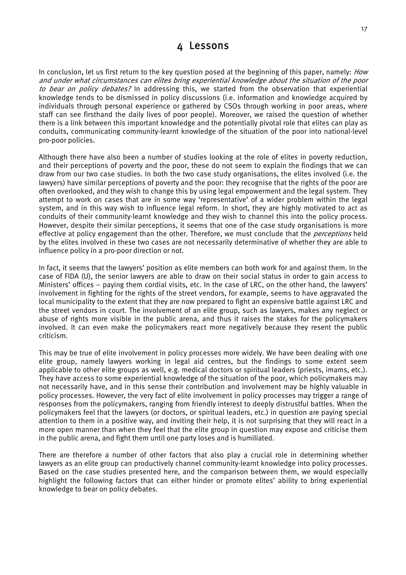## 4 Lessons

In conclusion, let us first return to the key question posed at the beginning of this paper, namely: *How* and under what circumstances can elites bring experiential knowledge about the situation of the poor to bear on policy debates? In addressing this, we started from the observation that experiential knowledge tends to be dismissed in policy discussions (i.e. information and knowledge acquired by individuals through personal experience or gathered by CSOs through working in poor areas, where staff can see firsthand the daily lives of poor people). Moreover, we raised the question of whether there is a link between this important knowledge and the potentially pivotal role that elites can play as conduits, communicating community-learnt knowledge of the situation of the poor into national-level pro-poor policies.

Although there have also been a number of studies looking at the role of elites in poverty reduction, and their perceptions of poverty and the poor, these do not seem to explain the findings that we can draw from our two case studies. In both the two case study organisations, the elites involved (i.e. the lawyers) have similar perceptions of poverty and the poor: they recognise that the rights of the poor are often overlooked, and they wish to change this by using legal empowerment and the legal system. They attempt to work on cases that are in some way 'representative' of a wider problem within the legal system, and in this way wish to influence legal reform. In short, they are highly motivated to act as conduits of their community-learnt knowledge and they wish to channel this into the policy process. However, despite their similar perceptions, it seems that one of the case study organisations is more effective at policy engagement than the other. Therefore, we must conclude that the *perceptions* held by the elites involved in these two cases are not necessarily determinative of whether they are able to influence policy in a pro-poor direction or not.

In fact, it seems that the lawyers' position as elite members can both work for and against them. In the case of FIDA (U), the senior lawyers are able to draw on their social status in order to gain access to Ministers' offices – paying them cordial visits, etc. In the case of LRC, on the other hand, the lawyers' involvement in fighting for the rights of the street vendors, for example, seems to have aggravated the local municipality to the extent that they are now prepared to fight an expensive battle against LRC and the street vendors in court. The involvement of an elite group, such as lawyers, makes any neglect or abuse of rights more visible in the public arena, and thus it raises the stakes for the policymakers involved. It can even make the policymakers react more negatively because they resent the public criticism.

This may be true of elite involvement in policy processes more widely. We have been dealing with one elite group, namely lawyers working in legal aid centres, but the findings to some extent seem applicable to other elite groups as well, e.g. medical doctors or spiritual leaders (priests, imams, etc.). They have access to some experiential knowledge of the situation of the poor, which policymakers may not necessarily have, and in this sense their contribution and involvement may be highly valuable in policy processes. However, the very fact of elite involvement in policy processes may trigger a range of responses from the policymakers, ranging from friendly interest to deeply distrustful battles. When the policymakers feel that the lawyers (or doctors, or spiritual leaders, etc.) in question are paying special attention to them in a positive way, and inviting their help, it is not surprising that they will react in a more open manner than when they feel that the elite group in question may expose and criticise them in the public arena, and fight them until one party loses and is humiliated.

There are therefore a number of other factors that also play a crucial role in determining whether lawyers as an elite group can productively channel community-learnt knowledge into policy processes. Based on the case studies presented here, and the comparison between them, we would especially highlight the following factors that can either hinder or promote elites' ability to bring experiential knowledge to bear on policy debates.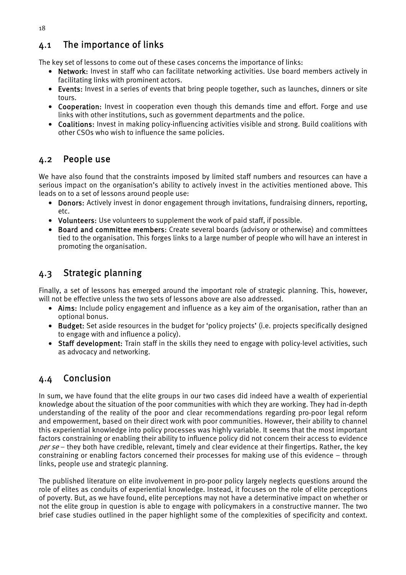## 4.1 The importance of links

The key set of lessons to come out of these cases concerns the importance of links:

- Network: Invest in staff who can facilitate networking activities. Use board members actively in facilitating links with prominent actors.
- Events: Invest in a series of events that bring people together, such as launches, dinners or site tours.
- Cooperation: Invest in cooperation even though this demands time and effort. Forge and use links with other institutions, such as government departments and the police.
- Coalitions: Invest in making policy-influencing activities visible and strong. Build coalitions with other CSOs who wish to influence the same policies.

## 4.2 People use

We have also found that the constraints imposed by limited staff numbers and resources can have a serious impact on the organisation's ability to actively invest in the activities mentioned above. This leads on to a set of lessons around people use:

- Donors: Actively invest in donor engagement through invitations, fundraising dinners, reporting, etc.
- Volunteers: Use volunteers to supplement the work of paid staff, if possible.
- Board and committee members: Create several boards (advisory or otherwise) and committees tied to the organisation. This forges links to a large number of people who will have an interest in promoting the organisation.

## 4.3 Strategic planning

Finally, a set of lessons has emerged around the important role of strategic planning. This, however, will not be effective unless the two sets of lessons above are also addressed.

- Aims: Include policy engagement and influence as a key aim of the organisation, rather than an optional bonus.
- Budget: Set aside resources in the budget for 'policy projects' (i.e. projects specifically designed to engage with and influence a policy).
- Staff development: Train staff in the skills they need to engage with policy-level activities, such as advocacy and networking.

## 4.4 Conclusion

In sum, we have found that the elite groups in our two cases did indeed have a wealth of experiential knowledge about the situation of the poor communities with which they are working. They had in-depth understanding of the reality of the poor and clear recommendations regarding pro-poor legal reform and empowerment, based on their direct work with poor communities. However, their ability to channel this experiential knowledge into policy processes was highly variable. It seems that the most important factors constraining or enabling their ability to influence policy did not concern their access to evidence per se – they both have credible, relevant, timely and clear evidence at their fingertips. Rather, the key constraining or enabling factors concerned their processes for making use of this evidence – through links, people use and strategic planning.

The published literature on elite involvement in pro-poor policy largely neglects questions around the role of elites as conduits of experiential knowledge. Instead, it focuses on the role of elite perceptions of poverty. But, as we have found, elite perceptions may not have a determinative impact on whether or not the elite group in question is able to engage with policymakers in a constructive manner. The two brief case studies outlined in the paper highlight some of the complexities of specificity and context.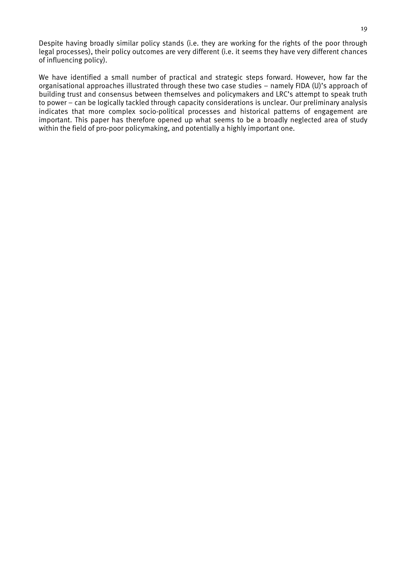Despite having broadly similar policy stands (i.e. they are working for the rights of the poor through legal processes), their policy outcomes are very different (i.e. it seems they have very different chances of influencing policy).

We have identified a small number of practical and strategic steps forward. However, how far the organisational approaches illustrated through these two case studies – namely FIDA (U)'s approach of building trust and consensus between themselves and policymakers and LRC's attempt to speak truth to power – can be logically tackled through capacity considerations is unclear. Our preliminary analysis indicates that more complex socio-political processes and historical patterns of engagement are important. This paper has therefore opened up what seems to be a broadly neglected area of study within the field of pro-poor policymaking, and potentially a highly important one.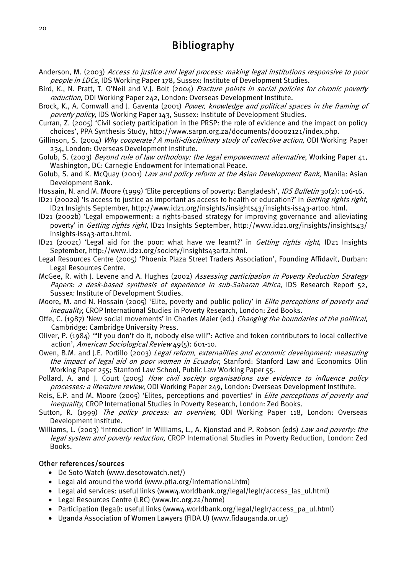## Bibliography

- Anderson, M. (2003) Access to justice and legal process: making legal institutions responsive to poor people in LDCs, IDS Working Paper 178, Sussex: Institute of Development Studies.
- Bird, K., N. Pratt, T. O'Neil and V.J. Bolt (2004) Fracture points in social policies for chronic poverty reduction, ODI Working Paper 242, London: Overseas Development Institute.
- Brock, K., A. Cornwall and J. Gaventa (2001) Power, knowledge and political spaces in the framing of poverty policy, IDS Working Paper 143, Sussex: Institute of Development Studies.
- Curran, Z. (2005) 'Civil society participation in the PRSP: the role of evidence and the impact on policy choices', PPA Synthesis Study, http://www.sarpn.org.za/documents/d0002121/index.php.
- Gillinson, S. (2004) Why cooperate? A multi-disciplinary study of collective action, ODI Working Paper 234, London: Overseas Development Institute.
- Golub, S. (2003) Beyond rule of law orthodoxy: the legal empowerment alternative, Working Paper 41, Washington, DC: Carnegie Endowment for International Peace.
- Golub, S. and K. McQuay (2001) Law and policy reform at the Asian Development Bank, Manila: Asian Development Bank.
- Hossain, N. and M. Moore (1999) 'Elite perceptions of poverty: Bangladesh', *IDS Bulletin* 30(2): 106-16.
- ID21 (2002a) 'Is access to justice as important as access to health or education?' in Getting rights right, ID21 Insights September, http://www.id21.org/insights/insights43/insights-iss43-art00.html.
- ID21 (2002b) 'Legal empowerment: a rights-based strategy for improving governance and alleviating poverty' in Getting rights right, ID21 Insights September, http://www.id21.org/insights/insights43/ insights-iss43-art01.html.
- ID21 (2002c) 'Legal aid for the poor: what have we learnt?' in Getting rights right, ID21 Insights September, http://www.id21.org/society/insights43art2.html.
- Legal Resources Centre (2005) 'Phoenix Plaza Street Traders Association', Founding Affidavit, Durban: Legal Resources Centre.
- McGee, R. with J. Levene and A. Hughes (2002) Assessing participation in Poverty Reduction Strategy Papers: a desk-based synthesis of experience in sub-Saharan Africa, IDS Research Report 52, Sussex: Institute of Development Studies.
- Moore, M. and N. Hossain (2005) 'Elite, poverty and public policy' in *Elite perceptions of poverty and* inequality, CROP International Studies in Poverty Research, London: Zed Books.
- Offe, C. (1987) 'New social movements' in Charles Maier (ed.) Changing the boundaries of the political, Cambridge: Cambridge University Press.
- Oliver, P. (1984) '"If you don't do it, nobody else will": Active and token contributors to local collective action', American Sociological Review 49(5): 601-10.
- Owen, B.M. and J.E. Portillo (2003) Legal reform, externalities and economic development: measuring the impact of legal aid on poor women in Ecuador, Stanford: Stanford Law and Economics Olin Working Paper 255; Stanford Law School, Public Law Working Paper 55.
- Pollard, A. and J. Court (2005) How civil society organisations use evidence to influence policy processes: a literature review, ODI Working Paper 249, London: Overseas Development Institute.
- Reis, E.P. and M. Moore (2005) 'Elites, perceptions and poverties' in Elite perceptions of poverty and inequality, CROP International Studies in Poverty Research, London: Zed Books.
- Sutton, R. (1999) The policy process: an overview, ODI Working Paper 118, London: Overseas Development Institute.
- Williams, L. (2003) 'Introduction' in Williams, L., A. Kjonstad and P. Robson (eds) Law and poverty: the legal system and poverty reduction, CROP International Studies in Poverty Reduction, London: Zed Books.

### Other references/sources

- De Soto Watch (www.desotowatch.net/)
- Legal aid around the world (www.ptla.org/international.htm)
- Legal aid services: useful links (www4.worldbank.org/legal/leglr/access\_las\_ul.html)
- Legal Resources Centre (LRC) (www.lrc.org.za/home)
- Participation (legal): useful links (www4.worldbank.org/legal/leglr/access\_pa\_ul.html)
- Uganda Association of Women Lawyers (FIDA U) (www.fidauganda.or.ug)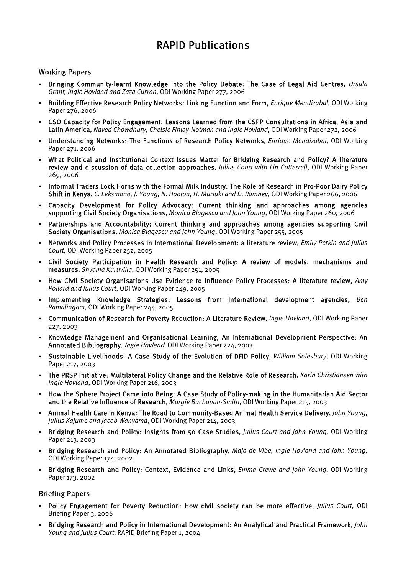# RAPID Publications

### Working Papers

- Bringing Community-learnt Knowledge into the Policy Debate: The Case of Legal Aid Centres, *Ursula Grant, Ingie Hovland and Zaza Curran*, ODI Working Paper 277, 2006
- **Building Effective Research Policy Networks: Linking Function and Form,** *Enrique Mendizabal*, ODI Working Paper 276, 2006
- CSO Capacity for Policy Engagement: Lessons Learned from the CSPP Consultations in Africa, Asia and Latin America, *Naved Chowdhury, Chelsie Finlay-Notman and Ingie Hovland*, ODI Working Paper 272, 2006
- Understanding Networks: The Functions of Research Policy Networks, *Enrique Mendizabal*, ODI Working Paper 271, 2006
- What Political and Institutional Context Issues Matter for Bridging Research and Policy? A literature review and discussion of data collection approaches, *Julius Court with Lin Cotterrell*, ODI Working Paper 269, 2006
- Informal Traders Lock Horns with the Formal Milk Industry: The Role of Research in Pro-Poor Dairy Policy Shift in Kenya, *C. Leksmono, J. Young, N. Hooton, H. Muriuki and D. Romney*, ODI Working Paper 266, 2006
- Capacity Development for Policy Advocacy: Current thinking and approaches among agencies supporting Civil Society Organisations, *Monica Blagescu and John Young*, ODI Working Paper 260, 2006
- Partnerships and Accountability: Current thinking and approaches among agencies supporting Civil Society Organisations, *Monica Blagescu and John Young*, ODI Working Paper 255, 2005
- Networks and Policy Processes in International Development: a literature review, *Emily Perkin and Julius Court*, ODI Working Paper 252, 2005
- Civil Society Participation in Health Research and Policy: A review of models, mechanisms and measures, *Shyama Kuruvilla*, ODI Working Paper 251, 2005
- How Civil Society Organisations Use Evidence to Influence Policy Processes: A literature review, *Amy Pollard and Julius Court*, ODI Working Paper 249, 2005
- Implementing Knowledge Strategies: Lessons from international development agencies, *Ben Ramalingam*, ODI Working Paper 244, 2005
- Communication of Research for Poverty Reduction: A Literature Review, *Ingie Hovland*, ODI Working Paper 227, 2003
- Knowledge Management and Organisational Learning, An International Development Perspective: An Annotated Bibliography, Ingie Hovland, ODI Working Paper 224, 2003
- Sustainable Livelihoods: A Case Study of the Evolution of DFID Policy, *William Solesbury*, ODI Working Paper 217, 2003
- The PRSP Initiative: Multilateral Policy Change and the Relative Role of Research, *Karin Christiansen with Ingie Hovland*, ODI Working Paper 216, 2003
- How the Sphere Project Came into Being: A Case Study of Policy-making in the Humanitarian Aid Sector and the Relative Influence of Research, *Margie Buchanan-Smith*, ODI Working Paper 215, 2003
- Animal Health Care in Kenya: The Road to Community-Based Animal Health Service Delivery, *John Young, Julius Kajume and Jacob Wanyama*, ODI Working Paper 214, 2003
- Bridging Research and Policy: Insights from 50 Case Studies, *Julius Court and John Young,* ODI Working Paper 213, 2003
- Bridging Research and Policy: An Annotated Bibliography, *Maja de Vibe, Ingie Hovland and John Young*, ODI Working Paper 174, 2002
- Bridging Research and Policy: Context, Evidence and Links, *Emma Crewe and John Young*, ODI Working Paper 173, 2002

### Briefing Papers

- Policy Engagement for Poverty Reduction: How civil society can be more effective, *Julius Court*, ODI Briefing Paper 3, 2006
- Bridging Research and Policy in International Development: An Analytical and Practical Framework, *John Young and Julius Court*, RAPID Briefing Paper 1, 2004